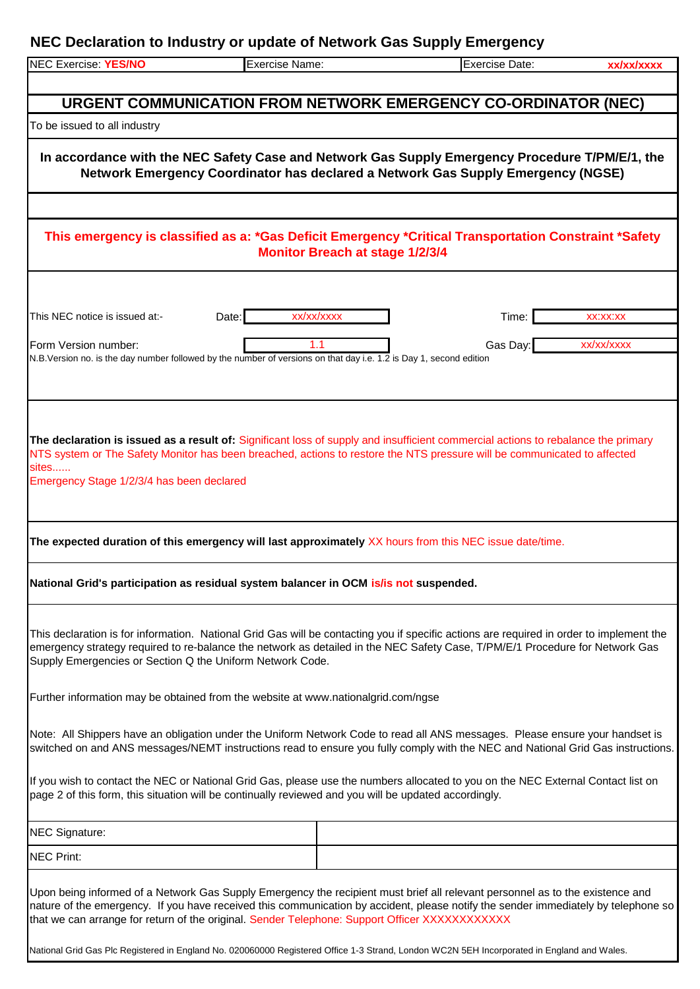## **NEC Declaration to Industry or update of Network Gas Supply Emergency**

| <b>NEC Exercise: YES/NO</b>                               | Exercise Name:                                                                                                                                                                                                                                                                                                                                                                                                                                                                                                     | <b>Exercise Date:</b> | xx/xx/xxxx |
|-----------------------------------------------------------|--------------------------------------------------------------------------------------------------------------------------------------------------------------------------------------------------------------------------------------------------------------------------------------------------------------------------------------------------------------------------------------------------------------------------------------------------------------------------------------------------------------------|-----------------------|------------|
|                                                           |                                                                                                                                                                                                                                                                                                                                                                                                                                                                                                                    |                       |            |
|                                                           | URGENT COMMUNICATION FROM NETWORK EMERGENCY CO-ORDINATOR (NEC)                                                                                                                                                                                                                                                                                                                                                                                                                                                     |                       |            |
| To be issued to all industry                              |                                                                                                                                                                                                                                                                                                                                                                                                                                                                                                                    |                       |            |
|                                                           |                                                                                                                                                                                                                                                                                                                                                                                                                                                                                                                    |                       |            |
|                                                           | In accordance with the NEC Safety Case and Network Gas Supply Emergency Procedure T/PM/E/1, the<br>Network Emergency Coordinator has declared a Network Gas Supply Emergency (NGSE)                                                                                                                                                                                                                                                                                                                                |                       |            |
|                                                           |                                                                                                                                                                                                                                                                                                                                                                                                                                                                                                                    |                       |            |
|                                                           | This emergency is classified as a: *Gas Deficit Emergency *Critical Transportation Constraint *Safety<br><b>Monitor Breach at stage 1/2/3/4</b>                                                                                                                                                                                                                                                                                                                                                                    |                       |            |
|                                                           |                                                                                                                                                                                                                                                                                                                                                                                                                                                                                                                    |                       |            |
| This NEC notice is issued at:-                            | xx/xx/xxxx<br>Date:                                                                                                                                                                                                                                                                                                                                                                                                                                                                                                | Time:                 | XX:XX:XX   |
| Form Version number:                                      | 1.1                                                                                                                                                                                                                                                                                                                                                                                                                                                                                                                | Gas Day:              | xx/xx/xxxx |
|                                                           | N.B. Version no. is the day number followed by the number of versions on that day i.e. 1.2 is Day 1, second edition                                                                                                                                                                                                                                                                                                                                                                                                |                       |            |
|                                                           |                                                                                                                                                                                                                                                                                                                                                                                                                                                                                                                    |                       |            |
|                                                           |                                                                                                                                                                                                                                                                                                                                                                                                                                                                                                                    |                       |            |
| sites<br>Emergency Stage 1/2/3/4 has been declared        | The declaration is issued as a result of: Significant loss of supply and insufficient commercial actions to rebalance the primary<br>NTS system or The Safety Monitor has been breached, actions to restore the NTS pressure will be communicated to affected                                                                                                                                                                                                                                                      |                       |            |
|                                                           | The expected duration of this emergency will last approximately XX hours from this NEC issue date/time.                                                                                                                                                                                                                                                                                                                                                                                                            |                       |            |
|                                                           | National Grid's participation as residual system balancer in OCM is/is not suspended.                                                                                                                                                                                                                                                                                                                                                                                                                              |                       |            |
| Supply Emergencies or Section Q the Uniform Network Code. | This declaration is for information. National Grid Gas will be contacting you if specific actions are required in order to implement the<br>emergency strategy required to re-balance the network as detailed in the NEC Safety Case, T/PM/E/1 Procedure for Network Gas                                                                                                                                                                                                                                           |                       |            |
|                                                           | Further information may be obtained from the website at www.nationalgrid.com/ngse                                                                                                                                                                                                                                                                                                                                                                                                                                  |                       |            |
|                                                           | Note: All Shippers have an obligation under the Uniform Network Code to read all ANS messages. Please ensure your handset is<br>switched on and ANS messages/NEMT instructions read to ensure you fully comply with the NEC and National Grid Gas instructions.                                                                                                                                                                                                                                                    |                       |            |
|                                                           | If you wish to contact the NEC or National Grid Gas, please use the numbers allocated to you on the NEC External Contact list on<br>page 2 of this form, this situation will be continually reviewed and you will be updated accordingly.                                                                                                                                                                                                                                                                          |                       |            |
| <b>NEC Signature:</b>                                     |                                                                                                                                                                                                                                                                                                                                                                                                                                                                                                                    |                       |            |
| <b>NEC Print:</b>                                         |                                                                                                                                                                                                                                                                                                                                                                                                                                                                                                                    |                       |            |
|                                                           | Upon being informed of a Network Gas Supply Emergency the recipient must brief all relevant personnel as to the existence and<br>nature of the emergency. If you have received this communication by accident, please notify the sender immediately by telephone so<br>that we can arrange for return of the original. Sender Telephone: Support Officer XXXXXXXXXXX<br>National Grid Gas Plc Registered in England No. 020060000 Registered Office 1-3 Strand, London WC2N 5EH Incorporated in England and Wales. |                       |            |